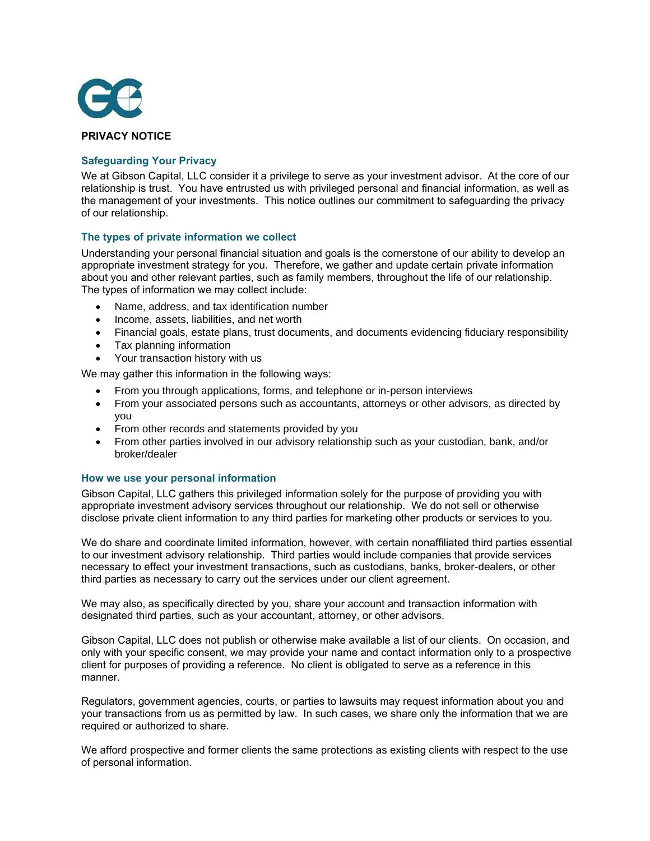

## **PRIVACY NOTICE**

# **Safeguarding Your Privacy**

We at Gibson Capital, LLC consider it a privilege to serve as your investment advisor. At the core of our relationship is trust. You have entrusted us with privileged personal and financial information, as well as the management of your investments. This notice outlines our commitment to safeguarding the privacy of our relationship.

## **The types of private information we collect**

Understanding your personal financial situation and goals is the cornerstone of our ability to develop an appropriate investment strategy for you. Therefore, we gather and update certain private information about you and other relevant parties, such as family members, throughout the life of our relationship. The types of information we may collect include:

- Name, address, and tax identification number
- Income, assets, liabilities, and net worth
- Financial goals, estate plans, trust documents, and documents evidencing fiduciary responsibility
- Tax planning information
- Your transaction history with us

We may gather this information in the following ways:

- From you through applications, forms, and telephone or in-person interviews
- From your associated persons such as accountants, attorneys or other advisors, as directed by you
- From other records and statements provided by you
- From other parties involved in our advisory relationship such as your custodian, bank, and/or broker/dealer

#### **How we use your personal information**

Gibson Capital, LLC gathers this privileged information solely for the purpose of providing you with appropriate investment advisory services throughout our relationship. We do not sell or otherwise disclose private client information to any third parties for marketing other products or services to you.

We do share and coordinate limited information, however, with certain nonaffiliated third parties essential to our investment advisory relationship. Third parties would include companies that provide services necessary to effect your investment transactions, such as custodians, banks, broker-dealers, or other third parties as necessary to carry out the services under our client agreement.

We may also, as specifically directed by you, share your account and transaction information with designated third parties, such as your accountant, attorney, or other advisors.

Gibson Capital, LLC does not publish or otherwise make available a list of our clients. On occasion, and only with your specific consent, we may provide your name and contact information only to a prospective client for purposes of providing a reference. No client is obligated to serve as a reference in this manner.

Regulators, government agencies, courts, or parties to lawsuits may request information about you and your transactions from us as permitted by law. In such cases, we share only the information that we are required or authorized to share.

We afford prospective and former clients the same protections as existing clients with respect to the use of personal information.